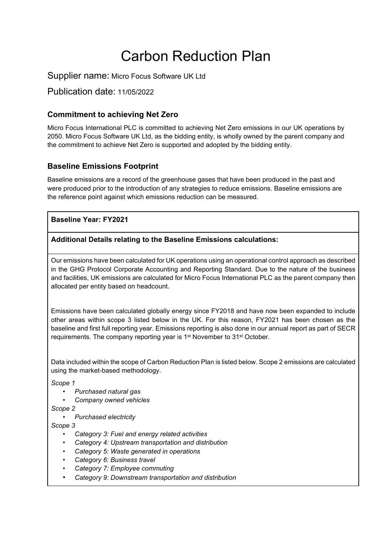# Carbon Reduction Plan

Supplier name: Micro Focus Software UK Ltd

Publication date: 11/05/2022

#### **Commitment to achieving Net Zero**

Micro Focus International PLC is committed to achieving Net Zero emissions in our UK operations by 2050. Micro Focus Software UK Ltd, as the bidding entity, is wholly owned by the parent company and the commitment to achieve Net Zero is supported and adopted by the bidding entity.

#### **Baseline Emissions Footprint**

Baseline emissions are a record of the greenhouse gases that have been produced in the past and were produced prior to the introduction of any strategies to reduce emissions. Baseline emissions are the reference point against which emissions reduction can be measured.

#### **Baseline Year: FY2021**

#### **Additional Details relating to the Baseline Emissions calculations:**

Our emissions have been calculated for UK operations using an operational control approach as described in the GHG Protocol Corporate Accounting and Reporting Standard. Due to the nature of the business and facilities, UK emissions are calculated for Micro Focus International PLC as the parent company then allocated per entity based on headcount.

Emissions have been calculated globally energy since FY2018 and have now been expanded to include other areas within scope 3 listed below in the UK. For this reason, FY2021 has been chosen as the baseline and first full reporting year. Emissions reporting is also done in our annual report as part of SECR requirements. The company reporting year is 1<sup>st</sup> November to 31<sup>st</sup> October.

Data included within the scope of Carbon Reduction Plan is listed below. Scope 2 emissions are calculated using the market-based methodology.

*Scope 1*

- *Purchased natural gas*
- *Company owned vehicles*

*Scope 2*

• *Purchased electricity*

*Scope 3*

- *Category 3: Fuel and energy related activities*
- *Category 4: Upstream transportation and distribution*
- *Category 5: Waste generated in operations*
- *Category 6: Business travel*
- *Category 7: Employee commuting*
- *Category 9: Downstream transportation and distribution*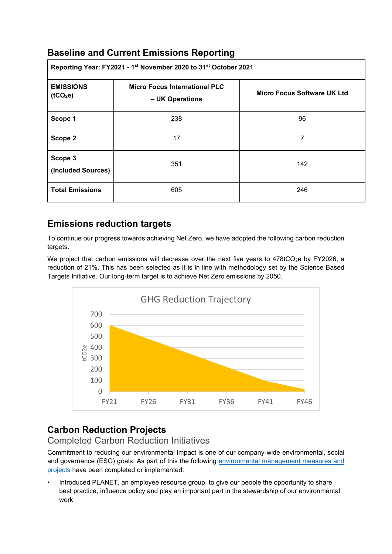## **Baseline and Current Emissions Reporting**

| Reporting Year: FY2021 - 1 <sup>st</sup> November 2020 to 31 <sup>st</sup> October 2021 |                                                         |                             |
|-----------------------------------------------------------------------------------------|---------------------------------------------------------|-----------------------------|
| <b>EMISSIONS</b><br>(tCO <sub>2</sub> e)                                                | <b>Micro Focus International PLC</b><br>- UK Operations | Micro Focus Software UK Ltd |
| Scope 1                                                                                 | 238                                                     | 96                          |
| Scope 2                                                                                 | 17                                                      | 7                           |
| Scope 3<br>(Included Sources)                                                           | 351                                                     | 142                         |
| <b>Total Emissions</b>                                                                  | 605                                                     | 246                         |

## **Emissions reduction targets**

To continue our progress towards achieving Net Zero, we have adopted the following carbon reduction targets.

We project that carbon emissions will decrease over the next five years to 478tCO<sub>2</sub>e by FY2026, a reduction of 21%. This has been selected as it is in line with methodology set by the Science Based Targets Initiative. Our long-term target is to achieve Net Zero emissions by 2050.



# **Carbon Reduction Projects**

### Completed Carbon Reduction Initiatives

Commitment to reducing our environmental impact is one of our company-wide environmental, social and governance (ESG) goals. As part of this the following [environmental management measures and](https://www.microfocus.com/en-us/corporate-responsibility/environment)  [projects](https://www.microfocus.com/en-us/corporate-responsibility/environment) have been completed or implemented:

• Introduced PLANET, an employee resource group, to give our people the opportunity to share best practice, influence policy and play an important part in the stewardship of our environmental work